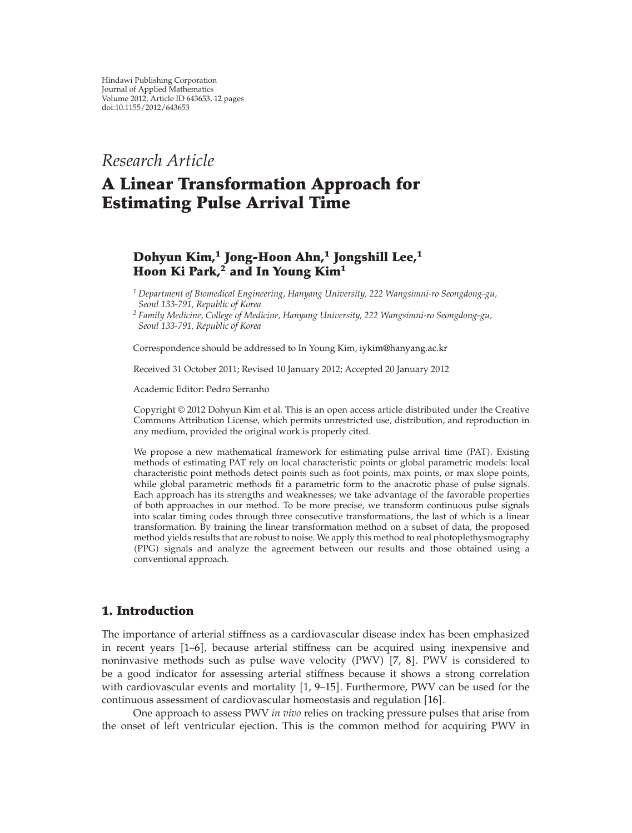*Research Article*

# **A Linear Transformation Approach for Estimating Pulse Arrival Time**

# **Dohyun Kim,<sup>1</sup> Jong-Hoon Ahn,<sup>1</sup> Jongshill Lee,<sup>1</sup> Hoon Ki Park,2 and In Young Kim<sup>1</sup>**

*<sup>1</sup> Department of Biomedical Engineering, Hanyang University, 222 Wangsimni-ro Seongdong-gu, Seoul 133-791, Republic of Korea*

*<sup>2</sup> Family Medicine, College of Medicine, Hanyang University, 222 Wangsimni-ro Seongdong-gu, Seoul 133-791, Republic of Korea*

Correspondence should be addressed to In Young Kim, iykim@hanyang.ac.kr

Received 31 October 2011; Revised 10 January 2012; Accepted 20 January 2012

Academic Editor: Pedro Serranho

Copyright © 2012 Dohyun Kim et al. This is an open access article distributed under the Creative Commons Attribution License, which permits unrestricted use, distribution, and reproduction in any medium, provided the original work is properly cited.

We propose a new mathematical framework for estimating pulse arrival time (PAT). Existing methods of estimating PAT rely on local characteristic points or global parametric models: local characteristic point methods detect points such as foot points, max points, or max slope points, while global parametric methods fit a parametric form to the anacrotic phase of pulse signals. Each approach has its strengths and weaknesses; we take advantage of the favorable properties of both approaches in our method. To be more precise, we transform continuous pulse signals into scalar timing codes through three consecutive transformations, the last of which is a linear transformation. By training the linear transformation method on a subset of data, the proposed method yields results that are robust to noise. We apply this method to real photoplethysmography -PPG signals and analyze the agreement between our results and those obtained using a conventional approach.

## **1. Introduction**

The importance of arterial stiffness as a cardiovascular disease index has been emphasized in recent years [1–6], because arterial stiffness can be acquired using inexpensive and noninvasive methods such as pulse wave velocity (PWV) [7, 8]. PWV is considered to be a good indicator for assessing arterial stiffness because it shows a strong correlation with cardiovascular events and mortality  $[1, 9-15]$ . Furthermore, PWV can be used for the continuous assessment of cardiovascular homeostasis and regulation [16].

One approach to assess PWV *in vivo* relies on tracking pressure pulses that arise from the onset of left ventricular ejection. This is the common method for acquiring PWV in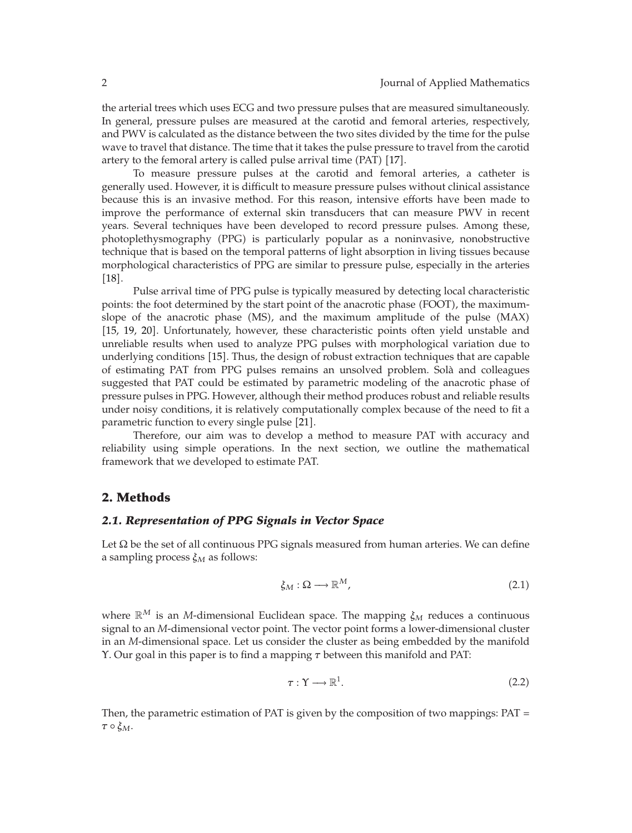the arterial trees which uses ECG and two pressure pulses that are measured simultaneously. In general, pressure pulses are measured at the carotid and femoral arteries, respectively, and PWV is calculated as the distance between the two sites divided by the time for the pulse wave to travel that distance. The time that it takes the pulse pressure to travel from the carotid artery to the femoral artery is called pulse arrival time  $(PAT)$   $[17]$ .

To measure pressure pulses at the carotid and femoral arteries, a catheter is generally used. However, it is difficult to measure pressure pulses without clinical assistance because this is an invasive method. For this reason, intensive efforts have been made to improve the performance of external skin transducers that can measure PWV in recent years. Several techniques have been developed to record pressure pulses. Among these, photoplethysmography (PPG) is particularly popular as a noninvasive, nonobstructive technique that is based on the temporal patterns of light absorption in living tissues because morphological characteristics of PPG are similar to pressure pulse, especially in the arteries  $[18]$ .

Pulse arrival time of PPG pulse is typically measured by detecting local characteristic points: the foot determined by the start point of the anacrotic phase (FOOT), the maximumslope of the anacrotic phase (MS), and the maximum amplitude of the pulse (MAX) [15, 19, 20]. Unfortunately, however, these characteristic points often yield unstable and unreliable results when used to analyze PPG pulses with morphological variation due to underlying conditions [15]. Thus, the design of robust extraction techniques that are capable of estimating PAT from PPG pulses remains an unsolved problem. Sola and colleagues ` suggested that PAT could be estimated by parametric modeling of the anacrotic phase of pressure pulses in PPG. However, although their method produces robust and reliable results under noisy conditions, it is relatively computationally complex because of the need to fit a parametric function to every single pulse [21].

Therefore, our aim was to develop a method to measure PAT with accuracy and reliability using simple operations. In the next section, we outline the mathematical framework that we developed to estimate PAT.

## **2. Methods**

### *2.1. Representation of PPG Signals in Vector Space*

Let  $\Omega$  be the set of all continuous PPG signals measured from human arteries. We can define a sampling process *ξM* as follows:

$$
\xi_M : \Omega \longrightarrow \mathbb{R}^M, \tag{2.1}
$$

where  $\mathbb{R}^M$  is an *M*-dimensional Euclidean space. The mapping  $\xi_M$  reduces a continuous signal to an *M*-dimensional vector point. The vector point forms a lower-dimensional cluster in an *M*-dimensional space. Let us consider the cluster as being embedded by the manifold Υ. Our goal in this paper is to find a mapping *τ* between this manifold and PAT:

$$
\tau: \Upsilon \longrightarrow \mathbb{R}^1. \tag{2.2}
$$

Then, the parametric estimation of PAT is given by the composition of two mappings: PAT *τ* ◦ *ξM*.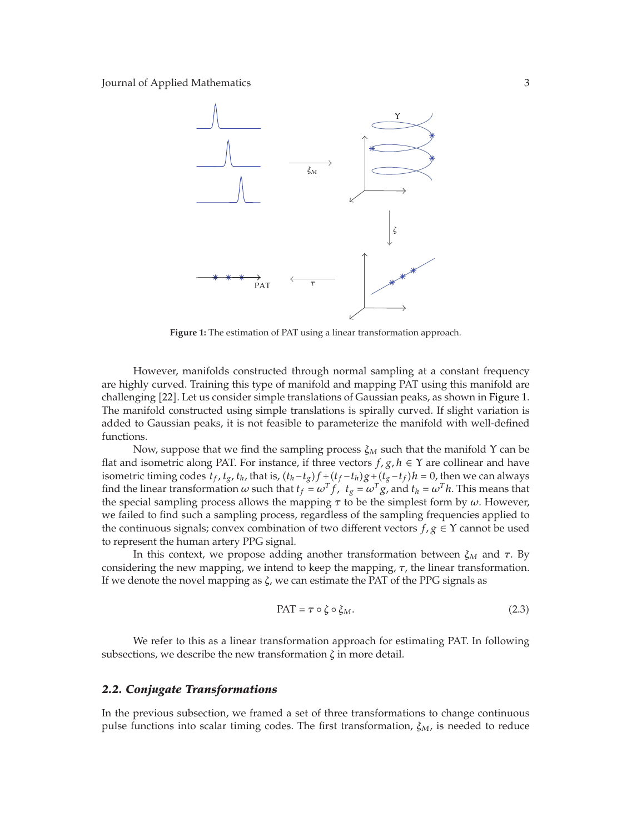

**Figure 1:** The estimation of PAT using a linear transformation approach.

However, manifolds constructed through normal sampling at a constant frequency are highly curved. Training this type of manifold and mapping PAT using this manifold are challenging 22. Let us consider simple translations of Gaussian peaks, as shown in Figure 1. The manifold constructed using simple translations is spirally curved. If slight variation is added to Gaussian peaks, it is not feasible to parameterize the manifold with well-defined functions.

Now, suppose that we find the sampling process *ξM* such that the manifold Υ can be flat and isometric along PAT. For instance, if three vectors  $f, g, h \in \Upsilon$  are collinear and have isometric timing codes  $t_f$ ,  $t_g$ ,  $t_h$ , that is,  $(t_h - t_g)f + (t_f - t_h)g + (t_g - t_f)h = 0$ , then we can always find the linear transformation  $\omega$  such that  $t_f = \omega^T f$ ,  $t_g = \omega^T g$ , and  $t_h = \omega^T h$ . This means that the special sampling process allows the mapping *τ* to be the simplest form by *ω*. However, we failed to find such a sampling process, regardless of the sampling frequencies applied to the continuous signals; convex combination of two different vectors  $f, g \in \Upsilon$  cannot be used to represent the human artery PPG signal.

In this context, we propose adding another transformation between  $\xi_M$  and  $\tau$ . By considering the new mapping, we intend to keep the mapping, *τ*, the linear transformation. If we denote the novel mapping as *ζ*, we can estimate the PAT of the PPG signals as

$$
PAT = \tau \circ \zeta \circ \xi_M. \tag{2.3}
$$

We refer to this as a linear transformation approach for estimating PAT. In following subsections, we describe the new transformation *ζ* in more detail.

### *2.2. Conjugate Transformations*

In the previous subsection, we framed a set of three transformations to change continuous pulse functions into scalar timing codes. The first transformation, *ξM*, is needed to reduce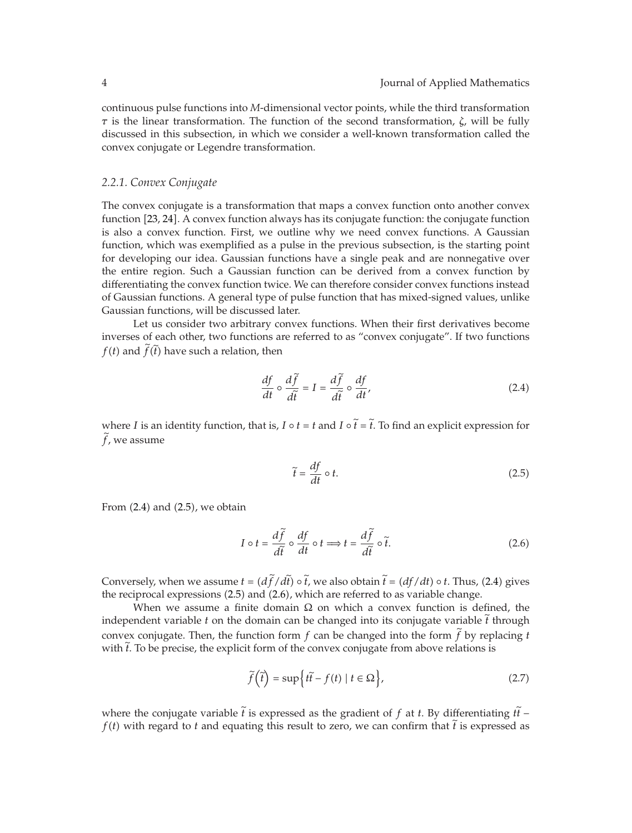continuous pulse functions into *M*-dimensional vector points, while the third transformation *τ* is the linear transformation. The function of the second transformation, *ζ*, will be fully discussed in this subsection, in which we consider a well-known transformation called the convex conjugate or Legendre transformation.

#### *2.2.1. Convex Conjugate*

The convex conjugate is a transformation that maps a convex function onto another convex function [23, 24]. A convex function always has its conjugate function: the conjugate function is also a convex function. First, we outline why we need convex functions. A Gaussian function, which was exemplified as a pulse in the previous subsection, is the starting point for developing our idea. Gaussian functions have a single peak and are nonnegative over the entire region. Such a Gaussian function can be derived from a convex function by differentiating the convex function twice. We can therefore consider convex functions instead of Gaussian functions. A general type of pulse function that has mixed-signed values, unlike Gaussian functions, will be discussed later.

Let us consider two arbitrary convex functions. When their first derivatives become inverses of each other, two functions are referred to as "convex conjugate". If two functions  $f(t)$  and  $f(t)$  have such a relation, then

$$
\frac{df}{dt} \circ \frac{d\tilde{f}}{d\tilde{t}} = I = \frac{d\tilde{f}}{d\tilde{t}} \circ \frac{df}{dt},
$$
\n(2.4)

where *I* is an identity function, that is, *I*  $\circ$  *t* = *t* and *I*  $\circ$  *t* = *t*. To find an explicit expression for  $\tilde{z}$  $f$ , we assume

$$
\tilde{t} = \frac{df}{dt} \circ t. \tag{2.5}
$$

From  $(2.4)$  and  $(2.5)$ , we obtain

$$
I \circ t = \frac{d\tilde{f}}{d\tilde{t}} \circ \frac{df}{dt} \circ t \Longrightarrow t = \frac{d\tilde{f}}{d\tilde{t}} \circ \tilde{t}.
$$
 (2.6)

Conversely, when we assume  $t = (df/dt) \circ t$ , we also obtain  $t = (df/dt) \circ t$ . Thus, (2.4) gives the presidence of the property of the property of the property of the property of the property of the property of the property of the the reciprocal expressions (2.5) and (2.6), which are referred to as variable change.

When we assume a finite domain  $\Omega$  on which a convex function is defined, the independent variable *t* on the domain can be changed into its conjugate variable *t* through convex conjugate. Then, the function form  $f$  can be changed into the form  $f$  by replacing  $t$ with *t*. To be precise, the explicit form of the convex conjugate from above relations is

$$
\widetilde{f}(\widetilde{t}) = \sup\left\{t\widetilde{t} - f(t) \mid t \in \Omega\right\},\tag{2.7}
$$

where the conjugate variable *t* is expressed as the gradient of *f* at *t*. By differentiating *tt* −  $f(t)$  with means that  $f(t)$  with means that  $f(t)$  with means that  $f(t)$  $f(t)$  with regard to *t* and equating this result to zero, we can confirm that *t* is expressed as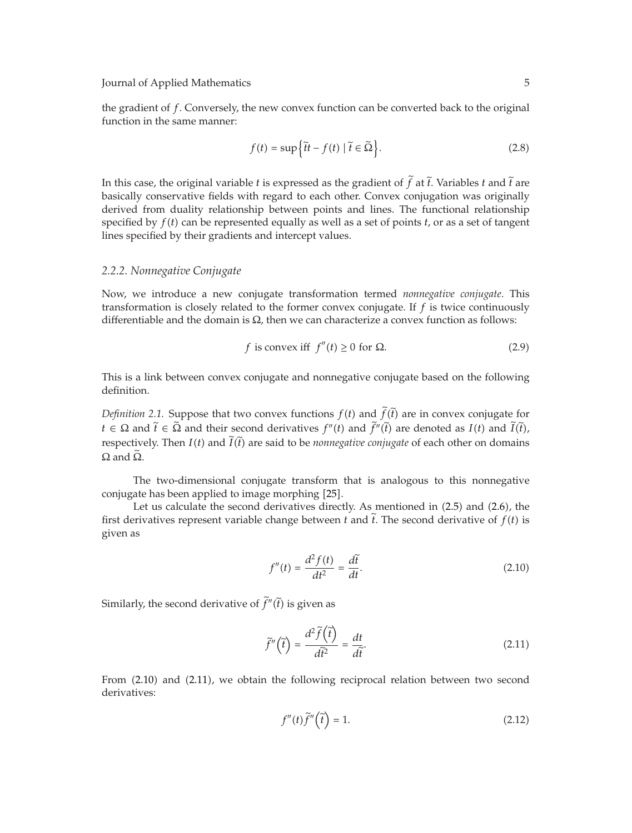the gradient of *f*. Conversely, the new convex function can be converted back to the original function in the same manner:

$$
f(t) = \sup \{ \tilde{t}t - f(t) \mid \tilde{t} \in \tilde{\Omega} \}.
$$
 (2.8)

In this case, the original variable *t* is expressed as the gradient of  $f$  at  $t$ . Variables  $t$  and  $t$  are leader to a conservative fields with grazed to angle allow Grazew assignative was ariginally basically conservative fields with regard to each other. Convex conjugation was originally derived from duality relationship between points and lines. The functional relationship specified by *f*-*t* can be represented equally as well as a set of points *t*, or as a set of tangent lines specified by their gradients and intercept values.

### *2.2.2. Nonnegative Conjugate*

Now, we introduce a new conjugate transformation termed *nonnegative conjugate*. This transformation is closely related to the former convex conjugate. If *f* is twice continuously differentiable and the domain is  $\Omega$ , then we can characterize a convex function as follows:

$$
f \text{ is convex iff } f''(t) \ge 0 \text{ for } \Omega. \tag{2.9}
$$

This is a link between convex conjugate and nonnegative conjugate based on the following definition.

*Definition 2.1.* Suppose that two convex functions  $f(t)$  and  $f(t)$  are in convex conjugate for  $t \in \Omega$  and  $\tilde{t} \in \tilde{\Omega}$  and their second derivatives  $f''(t)$  and  $\tilde{f}''(\tilde{t})$  are denoted as  $I(t)$  and  $\tilde{I}(\tilde{t})$ , respectively. Then *I*(*t*) and  $\widetilde{I}(\widetilde{t})$  are said to be *nonnegative conjugate* of each other on domains  $\Omega$  and  $\Omega$ .

The two-dimensional conjugate transform that is analogous to this nonnegative conjugate has been applied to image morphing [25].

Let us calculate the second derivatives directly. As mentioned in (2.5) and (2.6), the first derivatives represent variable change between  $t$  and  $t$ . The second derivative of  $f(t)$  is given as

$$
f''(t) = \frac{d^2 f(t)}{dt^2} = \frac{d\tilde{t}}{dt}.
$$
\n(2.10)

Similarly, the second derivative of  $f''(t)$  is given as

$$
\tilde{f}''\left(\tilde{t}\right) = \frac{d^2\tilde{f}\left(\tilde{t}\right)}{d\tilde{t}^2} = \frac{dt}{d\tilde{t}}.
$$
\n(2.11)

From (2.10) and (2.11), we obtain the following reciprocal relation between two second derivatives:

 $\sim$   $\sim$ 

$$
f''(t)\tilde{f}''\left(\tilde{t}\right) = 1.\tag{2.12}
$$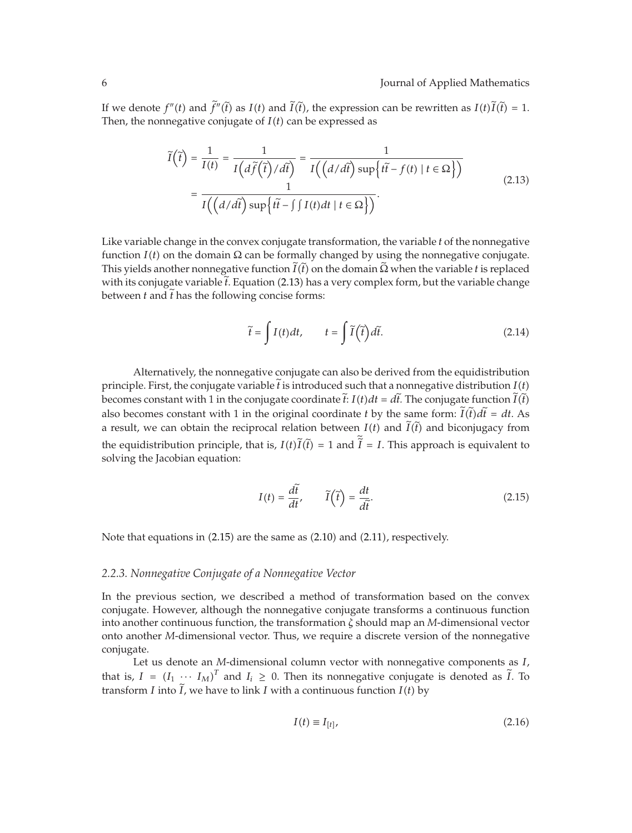If we denote  $f''(t)$  and  $f''(t)$  as  $I(t)$  and  $I(t)$ , the expression can be rewritten as  $I(t)I(t) = 1$ . Then, the nonnegative conjugate of  $I(t)$  can be expressed as

$$
\widetilde{I}(\widetilde{t}) = \frac{1}{I(t)} = \frac{1}{I\left(d\widetilde{f}(\widetilde{t})/d\widetilde{t}\right)} = \frac{1}{I\left(\left(d/d\widetilde{t}\right)\sup\{\widetilde{t}-f(t) \mid t \in \Omega\}\right)}
$$
\n
$$
= \frac{1}{I\left(\left(d/d\widetilde{t}\right)\sup\{\widetilde{t}-\int\int I(t)dt \mid t \in \Omega\}\right)}.
$$
\n(2.13)

Like variable change in the convex conjugate transformation, the variable *t* of the nonnegative function *I*(*t*) on the domain Ω can be formally changed by using the nonnegative conjugate. This yields another nonnegative function  $I(t)$  on the domain  $\Omega$  when the variable *t* is replaced this years another nonnegative random  $I(t)$  on the domain se when the variable  $t$  is replaced<br>with its conjugate variable  $\tilde{t}$ . Equation (2.13) has a very complex form, but the variable change between *t* and *t* has the following concise forms:

$$
\tilde{t} = \int I(t)dt, \qquad t = \int \tilde{I}(\tilde{t})d\tilde{t}.
$$
\n(2.14)

Alternatively, the nonnegative conjugate can also be derived from the equidistribution principle. First, the conjugate variable *t* is introduced such that a nonnegative distribution  $I(t)$ becomes constant with 1 in the conjugate coordinate  $t: I(t)dt = dt$ . The conjugate function  $I(t)$ also becomes constant with 1 in the original coordinate *t* by the same form:  $\tilde{I}(\tilde{t})d\tilde{t} = dt$ . As a result, we can obtain the reciprocal relation between  $I(t)$  and  $\tilde{I}(\tilde{t})$  and biconjugacy from the equidistribution principle, that is,  $I(t)I(t) = 1$  and  $I = I$ . This approach is equivalent to relative the Incolation constitution solving the Jacobian equation:

$$
I(t) = \frac{d\tilde{t}}{dt}, \qquad \tilde{I}(\tilde{t}) = \frac{dt}{d\tilde{t}}.
$$
\n(2.15)

Note that equations in (2.15) are the same as (2.10) and (2.11), respectively.

#### *2.2.3. Nonnegative Conjugate of a Nonnegative Vector*

In the previous section, we described a method of transformation based on the convex conjugate. However, although the nonnegative conjugate transforms a continuous function into another continuous function, the transformation *ζ* should map an *M*-dimensional vector onto another *M*-dimensional vector. Thus, we require a discrete version of the nonnegative conjugate.

Let us denote an *M*-dimensional column vector with nonnegative components as *I*, that is,  $I = (I_1 \cdots I_M)^T$  and  $I_i \ge 0$ . Then its nonnegative conjugate is denoted as  $\tilde{I}$ . To transform *I* into *I*, we have to link *I* with a continuous function  $I(t)$  by

$$
I(t) \equiv I_{[t]},\tag{2.16}
$$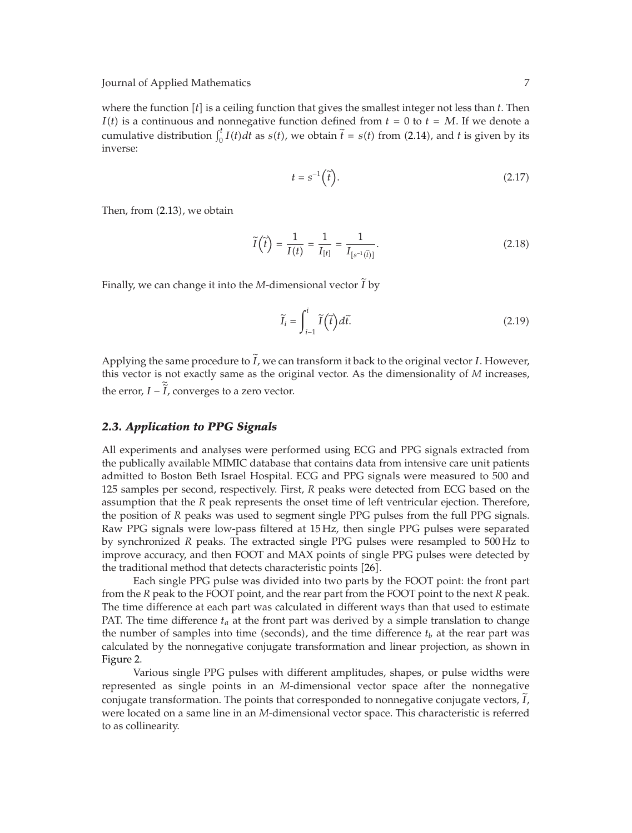where the function  $[t]$  is a ceiling function that gives the smallest integer not less than  $t$ . Then  $I(t)$  is a continuous and nonnegative function defined from  $t = 0$  to  $t = M$ . If we denote a cumulative distribution  $\int_0^t I(t)dt$  as  $s(t)$ , we obtain  $\tilde{t} = s(t)$  from (2.14), and *t* is given by its inverse:

$$
t = s^{-1}(\tilde{t}).\tag{2.17}
$$

Then, from  $(2.13)$ , we obtain

$$
\widetilde{I}\left(\widetilde{t}\right) = \frac{1}{I(t)} = \frac{1}{I_{[t]}} = \frac{1}{I_{[s^{-1}(\widetilde{t})]}}.\tag{2.18}
$$

Finally, we can change it into the *M*-dimensional vector *I* - by

$$
\widetilde{I}_i = \int_{i-1}^i \widetilde{I}(\widetilde{t}) d\widetilde{t}.
$$
\n(2.19)

Applying the same procedure to *I*, we can transform it back to the original vector *I*. However, this vector is not exactly same as the original vector. As the dimensionality of *M* increases, the error,  $I - I$ , converges to a zero vector.

## *2.3. Application to PPG Signals*

All experiments and analyses were performed using ECG and PPG signals extracted from the publically available MIMIC database that contains data from intensive care unit patients admitted to Boston Beth Israel Hospital. ECG and PPG signals were measured to 500 and 125 samples per second, respectively. First, *R* peaks were detected from ECG based on the assumption that the *R* peak represents the onset time of left ventricular ejection. Therefore, the position of *R* peaks was used to segment single PPG pulses from the full PPG signals. Raw PPG signals were low-pass filtered at 15 Hz, then single PPG pulses were separated by synchronized *R* peaks. The extracted single PPG pulses were resampled to 500 Hz to improve accuracy, and then FOOT and MAX points of single PPG pulses were detected by the traditional method that detects characteristic points [26].

Each single PPG pulse was divided into two parts by the FOOT point: the front part from the *R* peak to the FOOT point, and the rear part from the FOOT point to the next *R* peak. The time difference at each part was calculated in different ways than that used to estimate PAT. The time difference  $t_a$  at the front part was derived by a simple translation to change the number of samples into time (seconds), and the time difference  $t<sub>b</sub>$  at the rear part was calculated by the nonnegative conjugate transformation and linear projection, as shown in Figure 2.

Various single PPG pulses with different amplitudes, shapes, or pulse widths were represented as single points in an *M*-dimensional vector space after the nonnegative conjugate transformation. The points that corresponded to nonnegative conjugate vectors, *I* -, were located on a same line in an *M*-dimensional vector space. This characteristic is referred to as collinearity.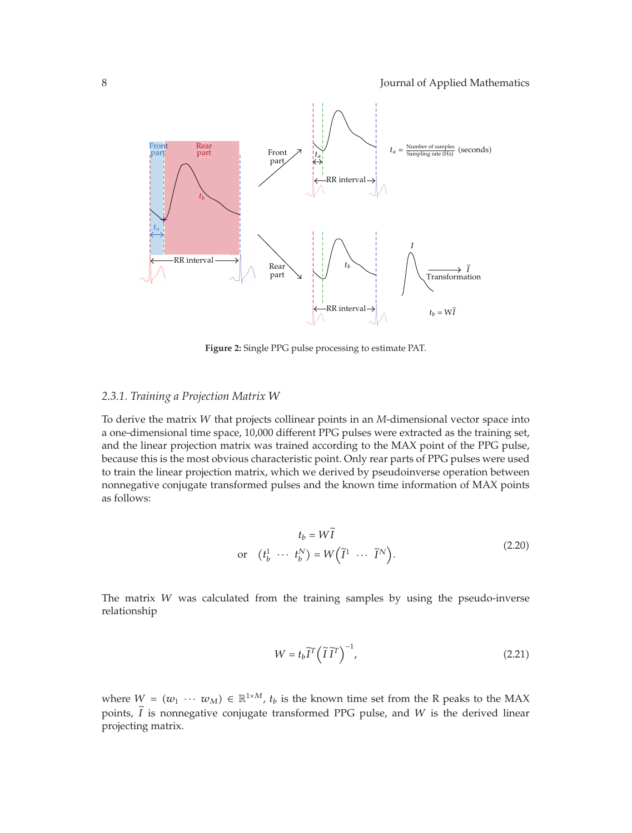

**Figure 2:** Single PPG pulse processing to estimate PAT.

## *2.3.1. Training a Projection Matrix W*

To derive the matrix *W* that projects collinear points in an *M*-dimensional vector space into a one-dimensional time space, 10,000 different PPG pulses were extracted as the training set, and the linear projection matrix was trained according to the MAX point of the PPG pulse, because this is the most obvious characteristic point. Only rear parts of PPG pulses were used to train the linear projection matrix, which we derived by pseudoinverse operation between nonnegative conjugate transformed pulses and the known time information of MAX points as follows:

$$
t_b = W\tilde{I}
$$
  
or  $(t_b^1 \cdots t_b^N) = W(\tilde{I}^1 \cdots \tilde{I}^N)$ . (2.20)

The matrix *W* was calculated from the training samples by using the pseudo-inverse relationship

$$
W = t_b \tilde{I}^T \left(\tilde{I} \tilde{I}^T\right)^{-1},\tag{2.21}
$$

where  $W = (w_1 \cdots w_M) \in \mathbb{R}^{1 \times M}$ ,  $t_b$  is the known time set from the R peaks to the MAX points, *I* is nonnegative conjugate transformed PPG pulse, and *W* is the derived linear -projecting matrix.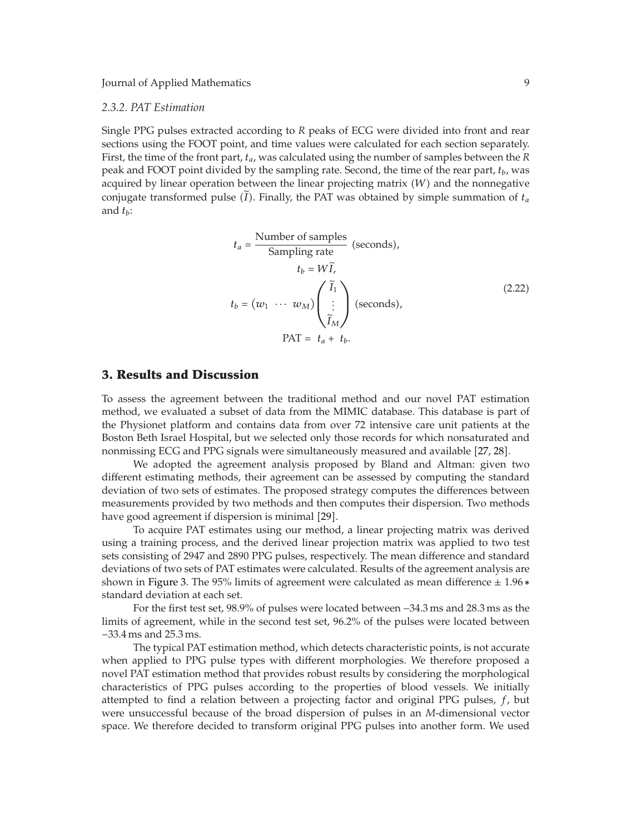### *2.3.2. PAT Estimation*

Single PPG pulses extracted according to *R* peaks of ECG were divided into front and rear sections using the FOOT point, and time values were calculated for each section separately. First, the time of the front part, *ta*, was calculated using the number of samples between the *R* peak and FOOT point divided by the sampling rate. Second, the time of the rear part, *tb*, was acquired by linear operation between the linear projecting matrix  $(W)$  and the nonnegative conjugate transformed pulse  $(I)$ . Finally, the PAT was obtained by simple summation of  $t_a$ and  $t_b$ :

$$
t_a = \frac{\text{Number of samples}}{\text{Sampling rate}} \text{ (seconds)},
$$
  
\n
$$
t_b = W\tilde{I},
$$
  
\n
$$
t_b = (w_1 \cdots w_M) \begin{pmatrix} \tilde{I}_1 \\ \vdots \\ \tilde{I}_M \end{pmatrix} \text{ (seconds)},
$$
  
\n
$$
\text{PATH} = t_a + t_b.
$$
 (2.22)

## **3. Results and Discussion**

To assess the agreement between the traditional method and our novel PAT estimation method, we evaluated a subset of data from the MIMIC database. This database is part of the Physionet platform and contains data from over 72 intensive care unit patients at the Boston Beth Israel Hospital, but we selected only those records for which nonsaturated and nonmissing ECG and PPG signals were simultaneously measured and available [27, 28].

We adopted the agreement analysis proposed by Bland and Altman: given two different estimating methods, their agreement can be assessed by computing the standard deviation of two sets of estimates. The proposed strategy computes the differences between measurements provided by two methods and then computes their dispersion. Two methods have good agreement if dispersion is minimal [29].

To acquire PAT estimates using our method, a linear projecting matrix was derived using a training process, and the derived linear projection matrix was applied to two test sets consisting of 2947 and 2890 PPG pulses, respectively. The mean difference and standard deviations of two sets of PAT estimates were calculated. Results of the agreement analysis are shown in Figure 3. The 95% limits of agreement were calculated as mean difference ± 1*.*96 ∗ standard deviation at each set.

For the first test set, 98.9% of pulses were located between −34.3 ms and 28.3 ms as the limits of agreement, while in the second test set, 96.2% of the pulses were located between −33.4 ms and 25.3 ms.

The typical PAT estimation method, which detects characteristic points, is not accurate when applied to PPG pulse types with different morphologies. We therefore proposed a novel PAT estimation method that provides robust results by considering the morphological characteristics of PPG pulses according to the properties of blood vessels. We initially attempted to find a relation between a projecting factor and original PPG pulses, *f*, but were unsuccessful because of the broad dispersion of pulses in an *M*-dimensional vector space. We therefore decided to transform original PPG pulses into another form. We used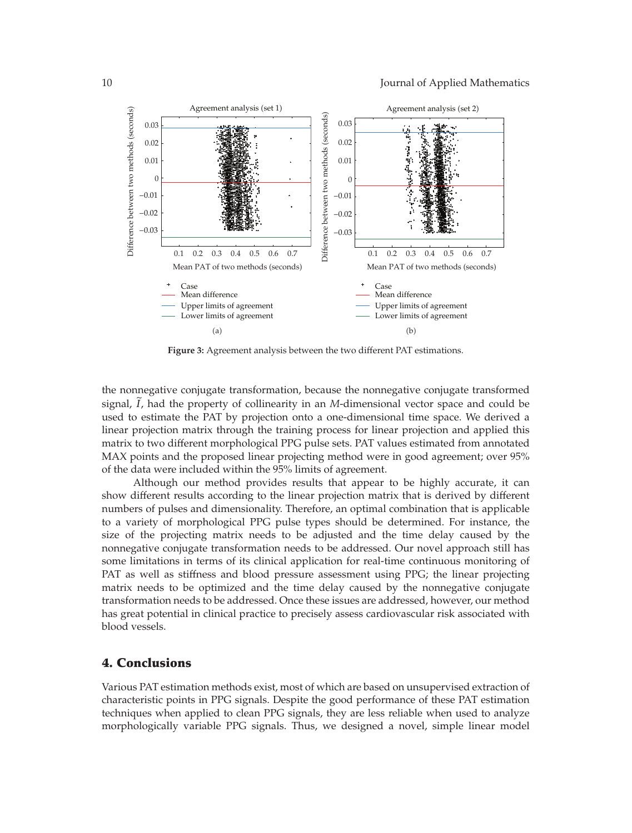

**Figure 3:** Agreement analysis between the two different PAT estimations.

the nonnegative conjugate transformation, because the nonnegative conjugate transformed signal, *I*, had the property of collinearity in an *M*-dimensional vector space and could be used to estimate the PAT by projection onto a one-dimensional time space. We derived a linear projection matrix through the training process for linear projection and applied this matrix to two different morphological PPG pulse sets. PAT values estimated from annotated MAX points and the proposed linear projecting method were in good agreement; over 95% of the data were included within the 95% limits of agreement.

Although our method provides results that appear to be highly accurate, it can show different results according to the linear projection matrix that is derived by different numbers of pulses and dimensionality. Therefore, an optimal combination that is applicable to a variety of morphological PPG pulse types should be determined. For instance, the size of the projecting matrix needs to be adjusted and the time delay caused by the nonnegative conjugate transformation needs to be addressed. Our novel approach still has some limitations in terms of its clinical application for real-time continuous monitoring of PAT as well as stiffness and blood pressure assessment using PPG; the linear projecting matrix needs to be optimized and the time delay caused by the nonnegative conjugate transformation needs to be addressed. Once these issues are addressed, however, our method has great potential in clinical practice to precisely assess cardiovascular risk associated with blood vessels.

## **4. Conclusions**

Various PAT estimation methods exist, most of which are based on unsupervised extraction of characteristic points in PPG signals. Despite the good performance of these PAT estimation techniques when applied to clean PPG signals, they are less reliable when used to analyze morphologically variable PPG signals. Thus, we designed a novel, simple linear model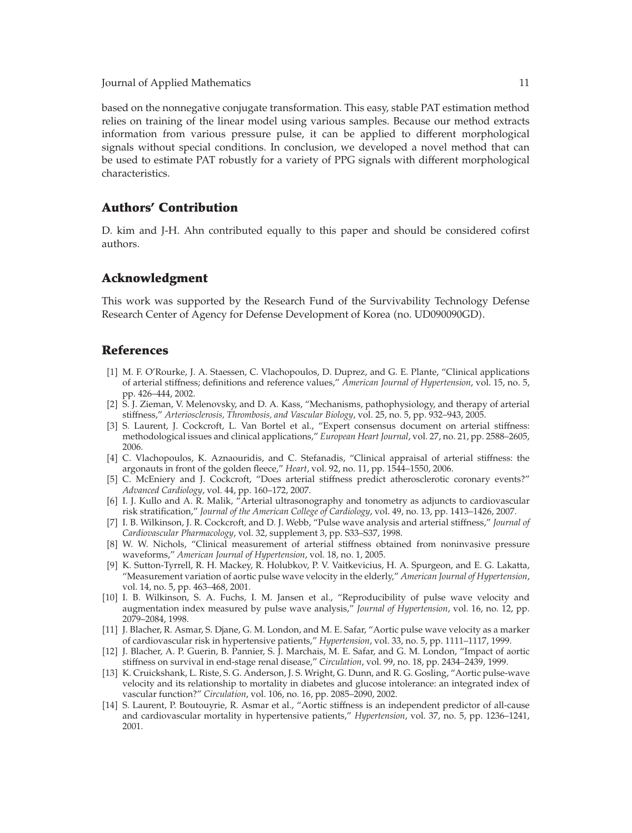based on the nonnegative conjugate transformation. This easy, stable PAT estimation method relies on training of the linear model using various samples. Because our method extracts information from various pressure pulse, it can be applied to different morphological signals without special conditions. In conclusion, we developed a novel method that can be used to estimate PAT robustly for a variety of PPG signals with different morphological characteristics.

## **Authors' Contribution**

D. kim and J-H. Ahn contributed equally to this paper and should be considered cofirst authors.

## **Acknowledgment**

This work was supported by the Research Fund of the Survivability Technology Defense Research Center of Agency for Defense Development of Korea (no. UD090090GD).

## **References**

- 1 M. F. O'Rourke, J. A. Staessen, C. Vlachopoulos, D. Duprez, and G. E. Plante, "Clinical applications of arterial stiffness; definitions and reference values," *American Journal of Hypertension*, vol. 15, no. 5, pp. 426–444, 2002.
- [2] S. J. Zieman, V. Melenovsky, and D. A. Kass, "Mechanisms, pathophysiology, and therapy of arterial stiffness," *Arteriosclerosis, Thrombosis, and Vascular Biology*, vol. 25, no. 5, pp. 932–943, 2005.
- [3] S. Laurent, J. Cockcroft, L. Van Bortel et al., "Expert consensus document on arterial stiffness: methodological issues and clinical applications," *European Heart Journal*, vol. 27, no. 21, pp. 2588–2605, 2006.
- [4] C. Vlachopoulos, K. Aznaouridis, and C. Stefanadis, "Clinical appraisal of arterial stiffness: the argonauts in front of the golden fleece," *Heart*, vol. 92, no. 11, pp. 1544–1550, 2006.
- [5] C. McEniery and J. Cockcroft, "Does arterial stiffness predict atherosclerotic coronary events?" *Advanced Cardiology*, vol. 44, pp. 160–172, 2007.
- 6 I. J. Kullo and A. R. Malik, "Arterial ultrasonography and tonometry as adjuncts to cardiovascular risk stratification," *Journal of the American College of Cardiology*, vol. 49, no. 13, pp. 1413–1426, 2007.
- 7 I. B. Wilkinson, J. R. Cockcroft, and D. J. Webb, "Pulse wave analysis and arterial stiffness," *Journal of Cardiovascular Pharmacology*, vol. 32, supplement 3, pp. S33–S37, 1998.
- [8] W. W. Nichols, "Clinical measurement of arterial stiffness obtained from noninvasive pressure waveforms," *American Journal of Hypertension*, vol. 18, no. 1, 2005.
- 9 K. Sutton-Tyrrell, R. H. Mackey, R. Holubkov, P. V. Vaitkevicius, H. A. Spurgeon, and E. G. Lakatta, "Measurement variation of aortic pulse wave velocity in the elderly," *American Journal of Hypertension*, vol. 14, no. 5, pp. 463–468, 2001.
- [10] I. B. Wilkinson, S. A. Fuchs, I. M. Jansen et al., "Reproducibility of pulse wave velocity and augmentation index measured by pulse wave analysis," *Journal of Hypertension*, vol. 16, no. 12, pp. 2079–2084, 1998.
- 11 J. Blacher, R. Asmar, S. Djane, G. M. London, and M. E. Safar, "Aortic pulse wave velocity as a marker of cardiovascular risk in hypertensive patients," *Hypertension*, vol. 33, no. 5, pp. 1111–1117, 1999.
- 12 J. Blacher, A. P. Guerin, B. Pannier, S. J. Marchais, M. E. Safar, and G. M. London, "Impact of aortic stiffness on survival in end-stage renal disease," *Circulation*, vol. 99, no. 18, pp. 2434–2439, 1999.
- [13] K. Cruickshank, L. Riste, S. G. Anderson, J. S. Wright, G. Dunn, and R. G. Gosling, "Aortic pulse-wave velocity and its relationship to mortality in diabetes and glucose intolerance: an integrated index of vascular function?" *Circulation*, vol. 106, no. 16, pp. 2085–2090, 2002.
- 14 S. Laurent, P. Boutouyrie, R. Asmar et al., "Aortic stiffness is an independent predictor of all-cause and cardiovascular mortality in hypertensive patients," *Hypertension*, vol. 37, no. 5, pp. 1236–1241, 2001.